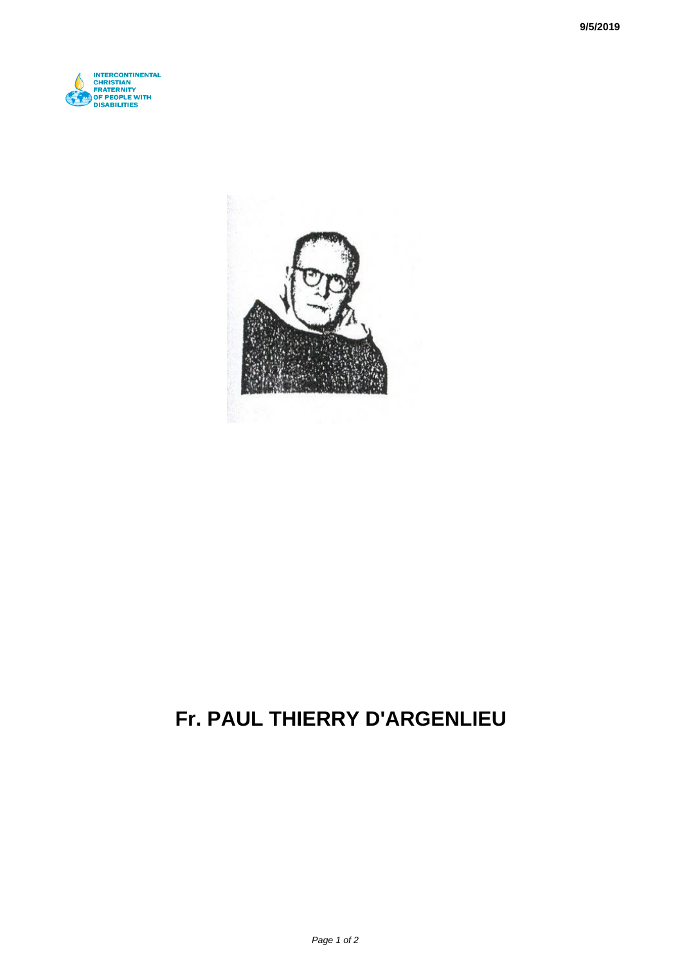



## **Fr. PAUL THIERRY D'ARGENLIEU**